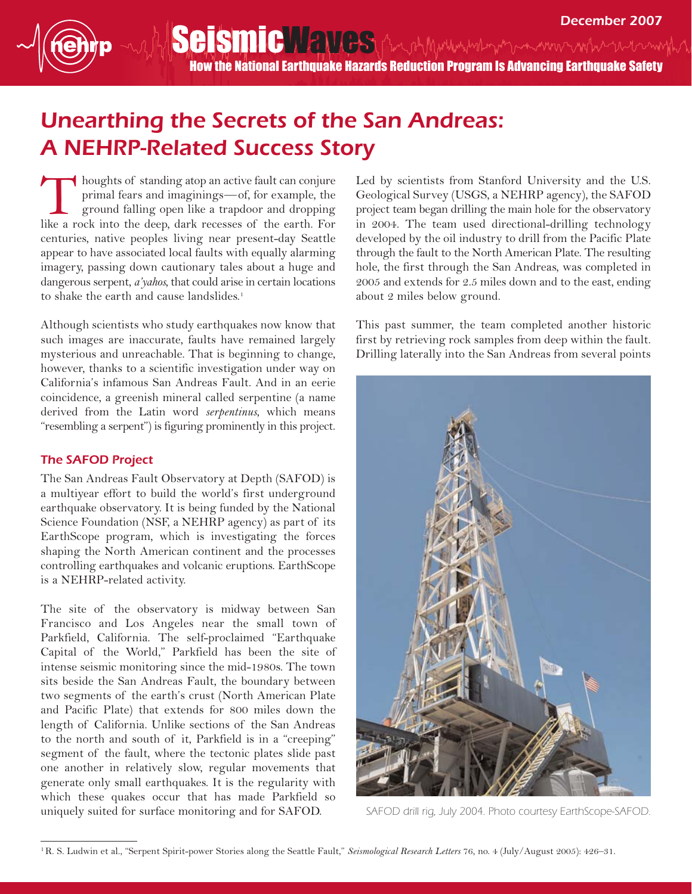Seismic Waves (the other when the word with the moth How the National Earthquake Hazards Reduction Program Is Advancing Earthquake Safety

## Unearthing the Secrets of the San Andreas: A NEHRP-Related Success Story

houghts of standing atop an active fault can conjure primal fears and imaginings—of, for example, the ground falling open like a trapdoor and dropping houghts of standing atop an active fault can conjure primal fears and imaginings—of, for example, the ground falling open like a trapdoor and dropping like a rock into the deep, dark recesses of the earth. For centuries, native peoples living near present-day Seattle appear to have associated local faults with equally alarming imagery, passing down cautionary tales about a huge and dangerous serpent, *a'yahos*, that could arise in certain locations to shake the earth and cause landslides.<sup>1</sup>

Although scientists who study earthquakes now know that such images are inaccurate, faults have remained largely mysterious and unreachable. That is beginning to change, however, thanks to a scientific investigation under way on California's infamous San Andreas Fault. And in an eerie coincidence, a greenish mineral called serpentine (a name derived from the Latin word *serpentinus*, which means "resembling a serpent") is figuring prominently in this project.

## The SAFOD Project

The San Andreas Fault Observatory at Depth (SAFOD) is a multiyear effort to build the world's first underground earthquake observatory. It is being funded by the National Science Foundation (NSF, a NEHRP agency) as part of its EarthScope program, which is investigating the forces shaping the North American continent and the processes controlling earthquakes and volcanic eruptions. EarthScope is a NEHRP-related activity.

The site of the observatory is midway between San Francisco and Los Angeles near the small town of Parkfield, California. The self-proclaimed "Earthquake Capital of the World," Parkfield has been the site of intense seismic monitoring since the mid-1980s. The town sits beside the San Andreas Fault, the boundary between two segments of the earth's crust (North American Plate and Pacific Plate) that extends for 800 miles down the length of California. Unlike sections of the San Andreas to the north and south of it, Parkfield is in a "creeping" segment of the fault, where the tectonic plates slide past one another in relatively slow, regular movements that generate only small earthquakes. It is the regularity with which these quakes occur that has made Parkfield so uniquely suited for surface monitoring and for SAFOD.

Led by scientists from Stanford University and the U.S. Geological Survey (USGS, a NEHRP agency), the SAFOD project team began drilling the main hole for the observatory in 2004. The team used directional-drilling technology developed by the oil industry to drill from the Pacific Plate through the fault to the North American Plate. The resulting hole, the first through the San Andreas, was completed in 2005 and extends for 2.5 miles down and to the east, ending about 2 miles below ground.

This past summer, the team completed another historic first by retrieving rock samples from deep within the fault. Drilling laterally into the San Andreas from several points



SAFOD drill rig, July 2004. Photo courtesy EarthScope-SAFOD.

<sup>1</sup>R. S. Ludwin et al., "Serpent Spirit-power Stories along the Seattle Fault," *Seismological Research Letters* 76, no. 4 (July/August 2005): 426–31.